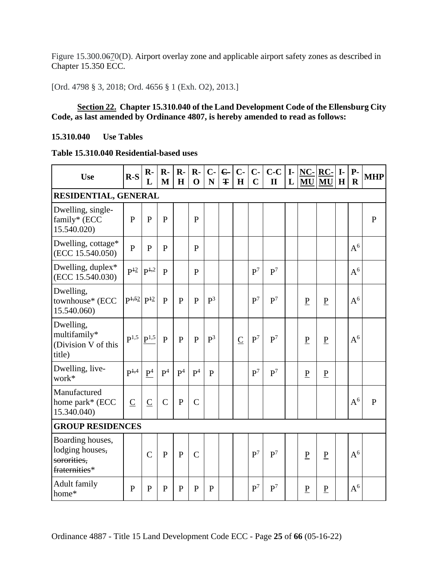Figure 15.300.0670(D). Airport overlay zone and applicable airport safety zones as described in Chapter 15.350 ECC.

[Ord. 4798 § 3, 2018; Ord. 4656 § 1 (Exh. O2), 2013.]

## **Section 22. Chapter 15.310.040 of the Land Development Code of the Ellensburg City Code, as last amended by Ordinance 4807, is hereby amended to read as follows:**

## **15.310.040 Use Tables**

## **Table 15.310.040 Residential-based uses**

| <b>Use</b>                                                          | $R-S$               | $\mathbf{R}$<br>L | $\mathbf{R}$ -<br>M | $\mathbf{R}$ -<br>H | $\mathbf{R}$ -<br>$\mathbf 0$ | $C -$<br>$\mathbf N$ | $\epsilon$<br>Ŧ | $C -$<br>$\mathbf H$ | $C -$<br>$\mathbf C$ | $C-C$<br>$\mathbf{I}$ | $\mathbf{I}$<br>L | $NC-$<br>MU     | $RC-$<br>MU     | $\mathbf{I}$<br>H | $P-$<br>$\mathbf R$ | <b>MHP</b>   |
|---------------------------------------------------------------------|---------------------|-------------------|---------------------|---------------------|-------------------------------|----------------------|-----------------|----------------------|----------------------|-----------------------|-------------------|-----------------|-----------------|-------------------|---------------------|--------------|
| RESIDENTIAL, GENERAL                                                |                     |                   |                     |                     |                               |                      |                 |                      |                      |                       |                   |                 |                 |                   |                     |              |
| Dwelling, single-<br>family* (ECC<br>15.540.020)                    | $\overline{P}$      | $\overline{P}$    | $\mathbf{P}$        |                     | $\mathbf{P}$                  |                      |                 |                      |                      |                       |                   |                 |                 |                   |                     | $\mathbf{P}$ |
| Dwelling, cottage*<br>(ECC 15.540.050)                              | $\mathbf{P}$        | $\mathbf{P}$      | $\mathbf{P}$        |                     | $\mathbf{P}$                  |                      |                 |                      |                      |                       |                   |                 |                 |                   | $A^6$               |              |
| Dwelling, duplex*<br>(ECC 15.540.030)                               | $P^{\frac{12}{2}}$  | $P^{1,2}$         | $\mathbf{P}$        |                     | $\mathbf{P}$                  |                      |                 |                      | $\mathbf{P}^7$       | P <sup>7</sup>        |                   |                 |                 |                   | $A^6$               |              |
| Dwelling,<br>townhouse* (ECC<br>15.540.060)                         | $P^{1,52}$ $P^{12}$ |                   | $\mathbf{P}$        | $\mathbf{P}$        | $\mathbf{P}$                  | $P^3$                |                 |                      | P <sup>7</sup>       | P <sup>7</sup>        |                   | ${\bf P}$       | ${\bf P}$       |                   | $A^6$               |              |
| Dwelling,<br>multifamily*<br>(Division V of this<br>title)          | $\mathbf{P}^{1,5}$  | $P^{1,5}$         | $\mathbf{P}$        | $\mathbf{P}$        | $\mathbf{P}$                  | $\mathbf{P}^3$       |                 | $\overline{C}$       | P <sup>7</sup>       | P <sup>7</sup>        |                   | ${\bf P}$       | $\underline{P}$ |                   | $A^6$               |              |
| Dwelling, live-<br>work*                                            | $P^{\frac{1}{4}}$   | $\underline{P}^4$ | P <sup>4</sup>      | P <sup>4</sup>      | P <sup>4</sup>                | $\mathbf{P}$         |                 |                      | P <sup>7</sup>       | P <sup>7</sup>        |                   | ${\bf P}$       | ${\bf P}$       |                   |                     |              |
| Manufactured<br>home park* (ECC<br>15.340.040)                      | $\overline{C}$      | $\overline{C}$    | $\mathbf C$         | $\mathbf{P}$        | $\overline{C}$                |                      |                 |                      |                      |                       |                   |                 |                 |                   | $A^6$               | $\mathbf{P}$ |
| <b>GROUP RESIDENCES</b>                                             |                     |                   |                     |                     |                               |                      |                 |                      |                      |                       |                   |                 |                 |                   |                     |              |
| Boarding houses,<br>lodging houses,<br>sororities,<br>fraternities* |                     | $\overline{C}$    | $\mathbf{P}$        | $\mathbf P$         | $\overline{C}$                |                      |                 |                      | P <sup>7</sup>       | P <sup>7</sup>        |                   | ${\bf P}$       | ${\bf P}$       |                   | $A^6$               |              |
| <b>Adult family</b><br>home*                                        | $\mathbf{P}$        | $\mathbf{P}$      | P                   | $\mathbf{P}$        | $\mathbf{P}$                  | $\mathbf{P}$         |                 |                      | P <sup>7</sup>       | $P^7$                 |                   | $\underline{P}$ | ${\bf P}$       |                   | $A^6$               |              |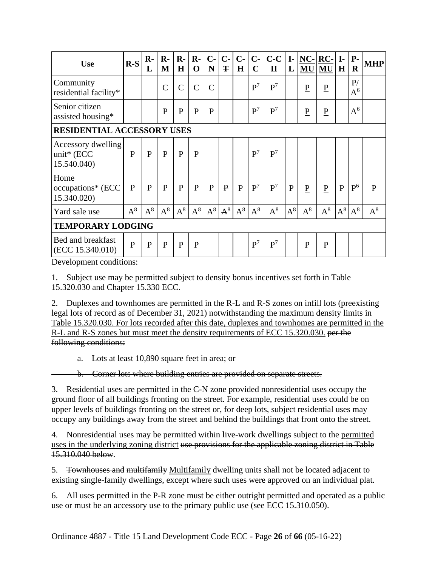| <b>Use</b>                                         | $R-S$           | $\mathbf{R}$ -<br>L | $\mathbf{R}$ -<br>M | $R -$<br>H    | $\mathbf{R}$ -<br>$\mathbf 0$ | $C-$<br>N     | $C -$<br>Ŧ   | $C -$<br>H   | $C-$<br>$\mathbf C$ | $C-C$<br>$\mathbf{I}$ | $\mathbf{I}$<br>L | $NC-$<br>MU  | $RC-$<br>MU     | $\mathbf{I}$<br>H | $P-$<br>$\bf{R}$ | <b>MHP</b>   |
|----------------------------------------------------|-----------------|---------------------|---------------------|---------------|-------------------------------|---------------|--------------|--------------|---------------------|-----------------------|-------------------|--------------|-----------------|-------------------|------------------|--------------|
| Community<br>residential facility*                 |                 |                     | $\overline{C}$      | $\mathcal{C}$ | $\mathcal{C}$                 | $\mathcal{C}$ |              |              | P <sup>7</sup>      | P <sup>7</sup>        |                   | ${\bf P}$    | $\underline{P}$ |                   | P/<br>$A^6$      |              |
| Senior citizen<br>assisted housing*                |                 |                     | $\mathbf{P}$        | $\mathbf{P}$  | $\mathbf{P}$                  | $\mathbf{P}$  |              |              | P <sup>7</sup>      | P <sup>7</sup>        |                   | $\mathbf P$  | $\underline{P}$ |                   | $A^6$            |              |
| <b>RESIDENTIAL ACCESSORY USES</b>                  |                 |                     |                     |               |                               |               |              |              |                     |                       |                   |              |                 |                   |                  |              |
| Accessory dwelling<br>unit* $(ECC)$<br>15.540.040) | P               | P                   | P                   | $\mathbf{P}$  | $\mathbf{P}$                  |               |              |              | P <sup>7</sup>      | P <sup>7</sup>        |                   |              |                 |                   |                  |              |
| Home<br>occupations* (ECC<br>15.340.020)           | P               | P                   | P                   | $\mathbf{P}$  | P                             | P             | $\mathbf{P}$ | $\mathbf{P}$ | P <sup>7</sup>      | P <sup>7</sup>        | $\mathbf{P}$      | $\mathbf{P}$ | $\mathbf P$     | $\mathbf{P}$      | P <sup>6</sup>   | $\mathbf{P}$ |
| Yard sale use                                      | $A^8$           | $A^8$               | $A^8$               | $A^8$         | $A^8$                         | $A^8$         | $A^8$        | $A^8$        | $A^8$               | $A^8$                 | $A^8$             | $A^8$        | $A^8$           | $A^8$             | $A^8$            | $A^8$        |
| <b>TEMPORARY LODGING</b>                           |                 |                     |                     |               |                               |               |              |              |                     |                       |                   |              |                 |                   |                  |              |
| Bed and breakfast<br>(ECC 15.340.010)              | $\underline{P}$ | ${\bf P}$           | $\mathbf{P}$        | $\mathbf{P}$  | $\mathbf{P}$                  |               |              |              | P <sup>7</sup>      | P <sup>7</sup>        |                   | $\mathbf P$  | $\underline{P}$ |                   |                  |              |

Development conditions:

1. Subject use may be permitted subject to density bonus incentives set forth in Table 15.320.030 and Chapter 15.330 ECC.

2. Duplexes and townhomes are permitted in the R-L and R-S zones on infill lots (preexisting legal lots of record as of December 31, 2021) notwithstanding the maximum density limits in Table 15.320.030. For lots recorded after this date, duplexes and townhomes are permitted in the R-L and R-S zones but must meet the density requirements of ECC 15.320.030. per the following conditions:

a. Lots at least 10,890 square feet in area; or

b. Corner lots where building entries are provided on separate streets.

3. Residential uses are permitted in the C-N zone provided nonresidential uses occupy the ground floor of all buildings fronting on the street. For example, residential uses could be on upper levels of buildings fronting on the street or, for deep lots, subject residential uses may occupy any buildings away from the street and behind the buildings that front onto the street.

4. Nonresidential uses may be permitted within live-work dwellings subject to the permitted uses in the underlying zoning district use provisions for the applicable zoning district in Table 15.310.040 below.

5. Townhouses and multifamily Multifamily dwelling units shall not be located adjacent to existing single-family dwellings, except where such uses were approved on an individual plat.

6. All uses permitted in the P-R zone must be either outright permitted and operated as a public use or must be an accessory use to the primary public use (see ECC 15.310.050).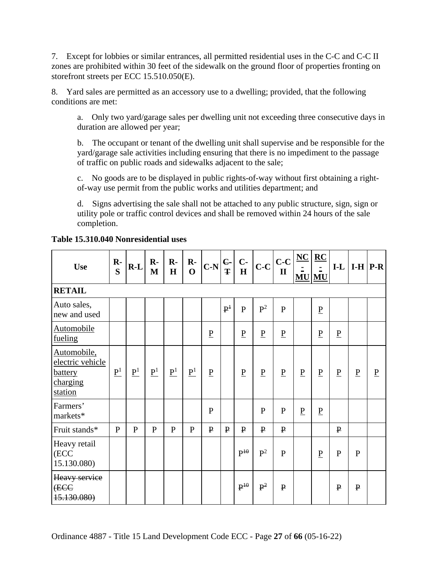7. Except for lobbies or similar entrances, all permitted residential uses in the C-C and C-C II zones are prohibited within 30 feet of the sidewalk on the ground floor of properties fronting on storefront streets per ECC 15.510.050(E).

8. Yard sales are permitted as an accessory use to a dwelling; provided, that the following conditions are met:

a. Only two yard/garage sales per dwelling unit not exceeding three consecutive days in duration are allowed per year;

b. The occupant or tenant of the dwelling unit shall supervise and be responsible for the yard/garage sale activities including ensuring that there is no impediment to the passage of traffic on public roads and sidewalks adjacent to the sale;

c. No goods are to be displayed in public rights-of-way without first obtaining a rightof-way use permit from the public works and utilities department; and

d. Signs advertising the sale shall not be attached to any public structure, sign, sign or utility pole or traffic control devices and shall be removed within 24 hours of the sale completion.

| <b>Use</b>                                                               | $\mathbf{R}$ -<br>S | $R-L$             | $\mathbf{R}$<br>M | $\mathbf{R}$ -<br>$\mathbf H$ | $\mathbf{R}$ -<br>$\mathbf{O}$ | $C-N\left \frac{C}{T}\right $ $\frac{C}{H}$ |                |                 | $c-c$           | $C-C$<br>$\mathbf{I}$ | $NC$            | $\underline{\mathbf{RC}}$<br>É.<br><b>MU MU</b> |                 |                 | $I-L$   $I-H$   $P-R$ |
|--------------------------------------------------------------------------|---------------------|-------------------|-------------------|-------------------------------|--------------------------------|---------------------------------------------|----------------|-----------------|-----------------|-----------------------|-----------------|-------------------------------------------------|-----------------|-----------------|-----------------------|
| <b>RETAIL</b>                                                            |                     |                   |                   |                               |                                |                                             |                |                 |                 |                       |                 |                                                 |                 |                 |                       |
| Auto sales,<br>new and used                                              |                     |                   |                   |                               |                                |                                             | P <sup>1</sup> | P               | $P^2$           | $\mathbf{P}$          |                 | $\mathbf{P}$                                    |                 |                 |                       |
| <b>Automobile</b><br>fueling                                             |                     |                   |                   |                               |                                | $\underline{P}$                             |                | $\underline{P}$ | $\underline{P}$ | $\mathbf{P}$          |                 | $\underline{P}$                                 | $\underline{P}$ |                 |                       |
| Automobile,<br>electric vehicle<br><b>battery</b><br>charging<br>station | $\underline{P}^1$   | $\underline{P}^1$ | $\underline{P}^1$ | $\underline{P}^1$             | $\underline{\mathbf{P}}^1$     | $\underline{P}$                             |                | $\underline{P}$ | $\underline{P}$ | $\mathbf{P}$          | $\underline{P}$ | $\overline{P}$                                  | $\underline{P}$ | $\underline{P}$ | $\underline{P}$       |
| Farmers'<br>markets*                                                     |                     |                   |                   |                               |                                | $\mathbf{P}$                                |                |                 | $\mathbf{P}$    | $\mathbf{P}$          | $\underline{P}$ | $\underline{P}$                                 |                 |                 |                       |
| Fruit stands*                                                            | $\mathbf{P}$        | $\mathbf{P}$      | $\mathbf{P}$      | $\mathbf{P}$                  | $\mathbf{P}$                   | $\mathbf{P}$                                | $\mathbf{P}$   | $\mathbf{P}$    | $\mathbf{P}$    | $\mathbf{P}$          |                 |                                                 | $\mathbf{P}$    |                 |                       |
| Heavy retail<br>(ECC<br>15.130.080)                                      |                     |                   |                   |                               |                                |                                             |                | $P^{10}$        | $P^2$           | $\mathbf{P}$          |                 | $\underline{P}$                                 | ${\bf P}$       | $\mathbf{P}$    |                       |
| Heavy service<br>(ECC<br>45.130.080)                                     |                     |                   |                   |                               |                                |                                             |                | $P^{10}$        | $P^2$           | $\mathbf{P}$          |                 |                                                 | $\mathbf{P}$    | $\mathbf{P}$    |                       |

**Table 15.310.040 Nonresidential uses**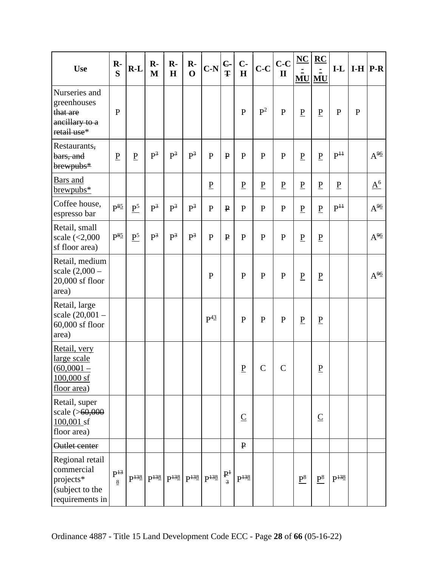|                                                                                  | $\mathbf{R}$ -             |                   | $\mathbf{R}$                                      | $\mathbf{R}$ - | $\mathbf{R}$ - |                      | $\epsilon$      | $C -$           |                 | $C-C$           | $NC$              | $\underline{RC}$         |                 |             |          |
|----------------------------------------------------------------------------------|----------------------------|-------------------|---------------------------------------------------|----------------|----------------|----------------------|-----------------|-----------------|-----------------|-----------------|-------------------|--------------------------|-----------------|-------------|----------|
| <b>Use</b>                                                                       | S                          | $R-L$             | $\mathbf{M}$                                      | H              | $\mathbf 0$    | $C-N$                | Ŧ               | $\mathbf H$     | $C-C$           | $\mathbf{I}$    |                   | Ξ<br><b>MU MU</b>        | $I-L$           | $I-H$ $P-R$ |          |
| Nurseries and<br>greenhouses<br>that are<br>ancillary to a<br>retail use*        | $\mathbf{P}$               |                   |                                                   |                |                |                      |                 | $\mathbf{P}$    | $P^2$           | $\mathbf{P}$    | $\underline{P}$   | $\underline{P}$          | ${\bf P}$       | $\mathbf P$ |          |
| Restaurants,<br>bars, and<br>brewpubs*                                           | $\underline{P}$            | $\underline{P}$   | $P^3$                                             | $P^3$          | $\mathrm{P}^3$ | $\mathbf{P}$         | $\mathbf{P}$    | $\mathbf{P}$    | $\mathbf{P}$    | $\mathbf{P}$    | $\underline{P}$   | $\underline{P}$          | P <sup>11</sup> |             | $A^{96}$ |
| <b>Bars</b> and<br>$brewpubs*$                                                   |                            |                   |                                                   |                |                | $\underline{P}$      |                 | $\underline{P}$ | $\underline{P}$ | $\underline{P}$ | $\underline{P}$   | $\underline{P}$          | $\underline{P}$ |             | $A^6$    |
| Coffee house,<br>espresso bar                                                    | $P^{\frac{85}{2}}$         | $\underline{P}^5$ | $P^3$                                             | $P^3$          | $\mathrm{P}^3$ | ${\bf P}$            | $\mathbf{P}$    | $\mathbf{P}$    | $\mathbf{P}$    | ${\bf P}$       | $\underline{P}$   | $\underline{\mathbf{P}}$ | P <sup>11</sup> |             | $A^{96}$ |
| Retail, small<br>scale $\left( <2,000 \right)$<br>sf floor area)                 | $P^{\frac{85}{2}}$         | P <sup>5</sup>    | $P^3$                                             | $P^3$          | $\mathrm{P}^3$ | $\mathbf{P}$         | $\mathbf{P}$    | $\mathbf{P}$    | $\mathbf{P}$    | $\mathbf{P}$    | $\underline{P}$   | $\underline{P}$          |                 |             | $A^{96}$ |
| Retail, medium<br>scale $(2,000 -$<br>20,000 sf floor<br>area)                   |                            |                   |                                                   |                |                | $\mathbf P$          |                 | $\mathbf{P}$    | P               | $\mathbf{P}$    | $\underline{P}$   | $\underline{P}$          |                 |             | $A^{96}$ |
| Retail, large<br>scale (20,001 -<br>60,000 sf floor<br>area)                     |                            |                   |                                                   |                |                | $P^{4\underline{3}}$ |                 | $\mathbf{P}$    | $\mathbf{P}$    | $\mathbf P$     | $\underline{P}$   | $\underline{P}$          |                 |             |          |
| Retail, very<br>large scale<br>$(60,0001 -$<br>$100,000$ sf<br>floor area)       |                            |                   |                                                   |                |                |                      |                 | $\underline{P}$ | $\overline{C}$  | $\mathcal{C}$   |                   | $\underline{P}$          |                 |             |          |
| Retail, super<br>scale (>60,000<br>$100,001$ sf<br>floor area)                   |                            |                   |                                                   |                |                |                      |                 | $\underline{C}$ |                 |                 |                   | $\underline{C}$          |                 |             |          |
| Outlet center                                                                    |                            |                   |                                                   |                |                |                      |                 | $\mathbf{P}$    |                 |                 |                   |                          |                 |             |          |
| Regional retail<br>commercial<br>projects*<br>(subject to the<br>requirements in | $P^{13}$<br>$8\phantom{.}$ |                   | $P^{138}$ $P^{138}$ $P^{138}$ $P^{138}$ $P^{138}$ |                |                |                      | $\frac{P^1}{3}$ | $P^{138}$       |                 |                 | $\underline{P}^8$ | $\mathrm{P}^8$           | $P^{138}$       |             |          |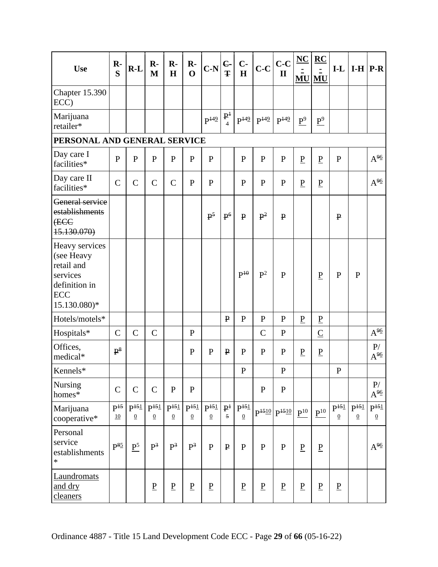| <b>Use</b>                                                                                            | $\mathbf{R}$ -<br>S                 | $R-L$                        | $\mathbf{R}$<br>M            | $\mathbf{R}$<br>H                   | $\mathbf{R}$<br>$\mathbf 0$  | $C-N$                        | $C -$<br>Ŧ                                | $C-$<br>$\mathbf H$                | $C-C$           | $C-C$<br>$\mathbf{I}$ | $NC$              | $\underline{RC}$  | $I-L$                        |                              | $I-H$ $P-R$                         |
|-------------------------------------------------------------------------------------------------------|-------------------------------------|------------------------------|------------------------------|-------------------------------------|------------------------------|------------------------------|-------------------------------------------|------------------------------------|-----------------|-----------------------|-------------------|-------------------|------------------------------|------------------------------|-------------------------------------|
|                                                                                                       |                                     |                              |                              |                                     |                              |                              |                                           |                                    |                 |                       |                   | <b>MU MU</b>      |                              |                              |                                     |
| Chapter 15.390<br>ECC)                                                                                |                                     |                              |                              |                                     |                              |                              |                                           |                                    |                 |                       |                   |                   |                              |                              |                                     |
| Marijuana<br>retailer*                                                                                |                                     |                              |                              |                                     |                              | $P^{149}$                    | $\mathbf{P}^1$                            | $P^{149}$                          | $P^{149}$       | $P^{149}$             | $\underline{P}^9$ | $\underline{P}^9$ |                              |                              |                                     |
| PERSONAL AND GENERAL SERVICE                                                                          |                                     |                              |                              |                                     |                              |                              |                                           |                                    |                 |                       |                   |                   |                              |                              |                                     |
| Day care I<br>facilities*                                                                             | $\mathbf{P}$                        | $\mathbf{P}$                 | $\mathbf{P}$                 | $\mathbf{P}$                        | $\mathbf{P}$                 | $\mathbf{P}$                 |                                           | $\mathbf{P}$                       | $\mathbf{P}$    | $\mathbf{P}$          | $\underline{P}$   | $\underline{P}$   | $\mathbf{P}$                 |                              | $A^{96}$                            |
| Day care II<br>facilities*                                                                            | $\mathcal{C}$                       | $\mathcal{C}$                | $\mathbf C$                  | $\mathcal{C}$                       | ${\bf P}$                    | $\mathbf{P}$                 |                                           | $\mathbf{P}$                       | $\mathbf{P}$    | ${\bf P}$             | $\underline{P}$   | $\underline{P}$   |                              |                              | $A^{96}$                            |
| General service<br>establishments<br>(ECC<br>15.130.070)                                              |                                     |                              |                              |                                     |                              | $\mathbf{P}^5$               | P <sup>6</sup>                            | $\mathbf{P}$                       | $\mathbf{P}^2$  | $\mathbf{P}$          |                   |                   | $\mathbf P$                  |                              |                                     |
| Heavy services<br>(see Heavy<br>retail and<br>services<br>definition in<br><b>ECC</b><br>15.130.080)* |                                     |                              |                              |                                     |                              |                              |                                           | $\mathbf{P}^{\mathbf{10}}$         | $\mathbf{P}^2$  | $\mathbf{P}$          |                   | $\underline{P}$   | $\mathbf{P}$                 | $\mathbf{P}$                 |                                     |
| Hotels/motels*                                                                                        |                                     |                              |                              |                                     |                              |                              | $\mathbf{P}$                              | $\mathbf{P}$                       | $\mathbf{P}$    | ${\bf P}$             | ${\bf P}$         | $\underline{P}$   |                              |                              |                                     |
| Hospitals*                                                                                            | $\mathcal{C}$                       | $\mathbf C$                  | $\mathbf C$                  |                                     | ${\bf P}$                    |                              |                                           |                                    | $\mathsf{C}$    | ${\bf P}$             |                   | $\overline{C}$    |                              |                              | $A^{96}$                            |
| Offices,<br>medical*                                                                                  | $P^8$                               |                              |                              |                                     | $\mathbf{P}$                 | $\mathbf{P}$                 | $\mathbf{P}$                              | $\mathbf{P}$                       | $\mathbf{P}$    | $\mathbf{P}$          | $\underline{P}$   | $\underline{P}$   |                              |                              | P/<br>$A^{96}$                      |
| Kennels*                                                                                              |                                     |                              |                              |                                     |                              |                              |                                           | ${\bf P}$                          |                 | ${\bf P}$             |                   |                   | ${\bf P}$                    |                              |                                     |
| Nursing<br>homes*                                                                                     | $\mathcal{C}$                       | $\mathbf C$                  | $\mathbf C$                  | ${\bf P}$                           | $\mathbf{P}$                 |                              |                                           |                                    | ${\bf P}$       | ${\bf P}$             |                   |                   |                              |                              | P/<br>$A^{96}$                      |
| Marijuana<br>cooperative*                                                                             | P <sup>15</sup><br>$\underline{10}$ | $P^{151}$<br>$\underline{0}$ | $P^{151}$<br>$\underline{0}$ | P <sup>151</sup><br>$\underline{0}$ | $P^{151}$<br>$\underline{0}$ | $P^{151}$<br>$\underline{0}$ | $\mathbf{P}^{\ddagger}$<br>$\overline{5}$ | P <sup>151</sup><br>$\overline{0}$ |                 | $P^{1510}$ $P^{1510}$ | $\mathbf{P}^{10}$ | $P^{10}$          | $P^{151}$<br>$\underline{0}$ | $P^{151}$<br>$\underline{0}$ | P <sup>151</sup><br>$\underline{0}$ |
| Personal<br>service<br>establishments<br>$\ast$                                                       | $P^{\frac{85}{2}}$                  | P <sup>5</sup>               | $P^3$                        | $P^3$                               | $P^3$                        | $\mathbf{P}$                 | $\mathbf{P}$                              | $\mathbf{P}$                       | $\mathbf{P}$    | ${\bf P}$             | $\underline{P}$   | $\underline{P}$   |                              |                              | $A^{96}$                            |
| Laundromats<br>and dry<br>cleaners                                                                    |                                     |                              | $\underline{P}$              | $\underline{P}$                     | $\underline{P}$              | $\underline{P}$              |                                           | $\underline{P}$                    | $\underline{P}$ | $\underline{P}$       | $\underline{P}$   | $\underline{P}$   | $\underline{P}$              |                              |                                     |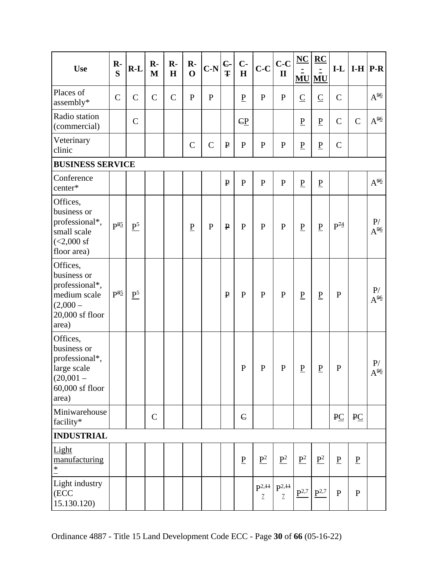| <b>Use</b>                                                                                            | $\mathbf{R}$ -     | $R-L$             | $\mathbf{R}$ | $\mathbf{R}$ - | $\mathbf{R}$             | $C-N$         | $\epsilon$   | $C -$           | $ c-c $                      |                             | $NC$                     | $RC$                     | $I-L$                      |                          | $I-H$ $P-R$               |
|-------------------------------------------------------------------------------------------------------|--------------------|-------------------|--------------|----------------|--------------------------|---------------|--------------|-----------------|------------------------------|-----------------------------|--------------------------|--------------------------|----------------------------|--------------------------|---------------------------|
|                                                                                                       | S                  |                   | $\mathbf{M}$ | H              | $\mathbf 0$              |               | Ŧ            | $\mathbf H$     |                              | $\mathbf{I}$                | <b>MU</b>                | MU                       |                            |                          |                           |
| Places of<br>assembly*                                                                                | $\mathcal{C}$      | $\mathcal{C}$     | $\mathbf C$  | $\mathbf C$    | $\mathbf{P}$             | $\mathbf{P}$  |              | $\underline{P}$ | $\mathbf{P}$                 | ${\bf P}$                   | $\overline{C}$           | $\overline{C}$           | $\mathcal{C}$              |                          | $A^{96}$                  |
| Radio station<br>(commercial)                                                                         |                    | $\mathcal{C}$     |              |                |                          |               |              | $\mathbb{C}P$   |                              |                             | $\underline{P}$          | $\underline{P}$          | $\mathbf C$                | $\mathcal{C}$            | $A^{96}$                  |
| Veterinary<br>clinic                                                                                  |                    |                   |              |                | $\overline{C}$           | $\mathcal{C}$ | $\mathbf{P}$ | ${\bf P}$       | $\mathbf P$                  | $\mathbf P$                 | $\underline{P}$          | $\underline{\mathbf{P}}$ | $\mathbf C$                |                          |                           |
| <b>BUSINESS SERVICE</b>                                                                               |                    |                   |              |                |                          |               |              |                 |                              |                             |                          |                          |                            |                          |                           |
| Conference<br>center*                                                                                 |                    |                   |              |                |                          |               | $\mathbf{P}$ | $\mathbf{P}$    | $\mathbf{P}$                 | ${\bf P}$                   | $\underline{P}$          | $\underline{\mathbf{P}}$ |                            |                          | $A^{96}$                  |
| Offices,<br>business or<br>professional*,<br>small scale<br>$(<2,000$ sf<br>floor area)               | $P^{\frac{85}{2}}$ | $\underline{P}^5$ |              |                | $\underline{\mathbf{P}}$ | ${\bf P}$     | $\mathbf{P}$ | $\mathbf{P}$    | $\mathbf{P}$                 | ${\bf P}$                   | $\underline{\mathbf{P}}$ | $\underline{\mathbf{P}}$ | $\mathbf{P}^{\mathcal{H}}$ |                          | $\mathbf{P}/$<br>$A^{96}$ |
| Offices,<br>business or<br>professional*,<br>medium scale<br>$(2,000 -$<br>20,000 sf floor<br>area)   | $P^{\frac{85}{5}}$ | $\underline{P}^5$ |              |                |                          |               | $\mathbf{P}$ | $\mathbf{P}$    | $\mathbf{P}$                 | ${\bf P}$                   | $\underline{\mathbf{P}}$ | $\underline{P}$          | ${\bf P}$                  |                          | $\mathbf{P}/$<br>$A^{96}$ |
| Offices,<br>business or<br>professional*,<br>large scale<br>$(20,001 -$<br>$60,000$ sf floor<br>area) |                    |                   |              |                |                          |               |              | ${\bf P}$       | $\mathbf{P}$                 | ${\bf P}$                   | ${\bf P}$                | ${\bf P}$                | $\mathbf{P}$               |                          | P/<br>$A^{96}$            |
| Miniwarehouse<br>facility*                                                                            |                    |                   | $\mathbf C$  |                |                          |               |              | $\epsilon$      |                              |                             |                          |                          | PC                         | PC                       |                           |
| <b>INDUSTRIAL</b>                                                                                     |                    |                   |              |                |                          |               |              |                 |                              |                             |                          |                          |                            |                          |                           |
| Light<br>manufacturing<br>$\ast$                                                                      |                    |                   |              |                |                          |               |              | $\underline{P}$ | $\underline{P}^2$            | $\underline{P}^2$           | $\underline{P}^2$        | $\underline{P}^2$        | $\underline{P}$            | $\underline{\mathbf{P}}$ |                           |
| Light industry<br>(ECC<br>15.130.120)                                                                 |                    |                   |              |                |                          |               |              |                 | $P^{2,++}$<br>$\overline{1}$ | $P^{2,++}$<br>$\mathcal{I}$ | $P^{2,7}$                | $\mathbf{P}^{2,7}$       | $\mathbf{P}$               | $\mathbf{P}$             |                           |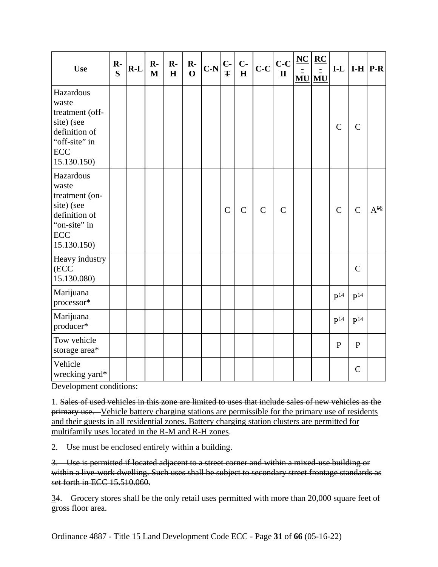| <b>Use</b>                                                                                                       | $\mathbf{R}$ -<br>$\overline{\mathbf{S}}$ | $R-L$ | $\mathbf{R}$<br>$\mathbf{M}$ | $\mathbf{R}$ -<br>H | $\mathbf{R}$ -<br>$\mathbf{O}$ | $C-N\left \frac{C}{T}\right $ $\frac{C}{H}$ |            |               | $\vert_{\text{C-C}}\vert_{\text{C-C}}\vert$ | $\mathbf{I}$ | $NC$ | $\underline{\mathbf{RC}}$<br>$\overline{a}$<br><b>MU MU</b> | $I-L$             |                | $I-H$ $P-R$          |
|------------------------------------------------------------------------------------------------------------------|-------------------------------------------|-------|------------------------------|---------------------|--------------------------------|---------------------------------------------|------------|---------------|---------------------------------------------|--------------|------|-------------------------------------------------------------|-------------------|----------------|----------------------|
| Hazardous<br>waste<br>treatment (off-<br>site) (see<br>definition of<br>"off-site" in<br>ECC<br>15.130.150)      |                                           |       |                              |                     |                                |                                             |            |               |                                             |              |      |                                                             | $\mathcal{C}$     | $\overline{C}$ |                      |
| Hazardous<br>waste<br>treatment (on-<br>site) (see<br>definition of<br>"on-site" in<br><b>ECC</b><br>15.130.150) |                                           |       |                              |                     |                                |                                             | $\epsilon$ | $\mathcal{C}$ | $\mathsf{C}$                                | $\mathbf C$  |      |                                                             | $\mathbf C$       | $\overline{C}$ | $A^{9\underline{6}}$ |
| Heavy industry<br>(ECC<br>15.130.080)                                                                            |                                           |       |                              |                     |                                |                                             |            |               |                                             |              |      |                                                             |                   | $\overline{C}$ |                      |
| Marijuana<br>processor*                                                                                          |                                           |       |                              |                     |                                |                                             |            |               |                                             |              |      |                                                             | $P^{14}$          | $P^{14}$       |                      |
| Marijuana<br>producer*                                                                                           |                                           |       |                              |                     |                                |                                             |            |               |                                             |              |      |                                                             | $\mathbf{P}^{14}$ | $P^{14}$       |                      |
| Tow vehicle<br>storage area*                                                                                     |                                           |       |                              |                     |                                |                                             |            |               |                                             |              |      |                                                             | $\mathbf{P}$      | $\mathbf{P}$   |                      |
| Vehicle<br>wrecking yard*                                                                                        |                                           |       |                              |                     |                                |                                             |            |               |                                             |              |      |                                                             |                   | $\mathcal{C}$  |                      |

Development conditions:

1. Sales of used vehicles in this zone are limited to uses that include sales of new vehicles as the primary use. Vehicle battery charging stations are permissible for the primary use of residents and their guests in all residential zones. Battery charging station clusters are permitted for multifamily uses located in the R-M and R-H zones.

2. Use must be enclosed entirely within a building.

3. Use is permitted if located adjacent to a street corner and within a mixed-use building or within a live-work dwelling. Such uses shall be subject to secondary street frontage standards as set forth in ECC 15.510.060.

34. Grocery stores shall be the only retail uses permitted with more than 20,000 square feet of gross floor area.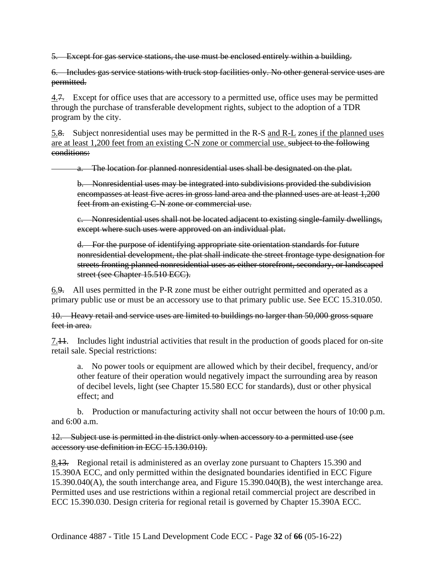5. Except for gas service stations, the use must be enclosed entirely within a building.

6. Includes gas service stations with truck stop facilities only. No other general service uses are permitted.

4.7. Except for office uses that are accessory to a permitted use, office uses may be permitted through the purchase of transferable development rights, subject to the adoption of a TDR program by the city.

5.8. Subject nonresidential uses may be permitted in the R-S and R-L zones if the planned uses are at least 1,200 feet from an existing C-N zone or commercial use. subject to the following conditions:

a. The location for planned nonresidential uses shall be designated on the plat.

b. Nonresidential uses may be integrated into subdivisions provided the subdivision encompasses at least five acres in gross land area and the planned uses are at least 1,200 feet from an existing C-N zone or commercial use.

c. Nonresidential uses shall not be located adjacent to existing single-family dwellings, except where such uses were approved on an individual plat.

d. For the purpose of identifying appropriate site orientation standards for future nonresidential development, the plat shall indicate the street frontage type designation for streets fronting planned nonresidential uses as either storefront, secondary, or landscaped street (see Chapter 15.510 ECC).

6.9. All uses permitted in the P-R zone must be either outright permitted and operated as a primary public use or must be an accessory use to that primary public use. See ECC 15.310.050.

10. Heavy retail and service uses are limited to buildings no larger than 50,000 gross square feet in area.

7.11. Includes light industrial activities that result in the production of goods placed for on-site retail sale. Special restrictions:

a. No power tools or equipment are allowed which by their decibel, frequency, and/or other feature of their operation would negatively impact the surrounding area by reason of decibel levels, light (see Chapter 15.580 ECC for standards), dust or other physical effect; and

b. Production or manufacturing activity shall not occur between the hours of 10:00 p.m. and 6:00 a.m.

12. Subject use is permitted in the district only when accessory to a permitted use (see accessory use definition in ECC 15.130.010).

8.13. Regional retail is administered as an overlay zone pursuant to Chapters 15.390 and 15.390A ECC, and only permitted within the designated boundaries identified in ECC Figure 15.390.040(A), the south interchange area, and Figure 15.390.040(B), the west interchange area. Permitted uses and use restrictions within a regional retail commercial project are described in ECC 15.390.030. Design criteria for regional retail is governed by Chapter 15.390A ECC.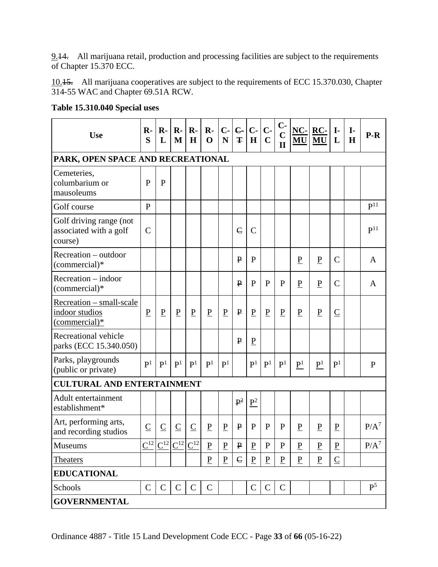9.14. All marijuana retail, production and processing facilities are subject to the requirements of Chapter 15.370 ECC.

10.15. All marijuana cooperatives are subject to the requirements of ECC 15.370.030, Chapter 314-55 WAC and Chapter 69.51A RCW.

| <b>Use</b>                                                   | $R$<br>S        | $\mathbf{R}$<br>L | $\mathbf{R}$<br>M | $\mathbf{R}$ -<br>H | $\mathbf{R}$<br>$\mathbf 0$ | $C -$<br>N      | $\epsilon$<br>Ŧ | $C-$<br>H         | $C -$<br>$\overline{C}$ | $C -$<br>$\mathbf C$<br>$\mathbf{I}$ | $NC-$<br>MU                | RC-<br>MU         | $I -$<br>L      | $\mathbf{I}$<br>H | $P-R$             |
|--------------------------------------------------------------|-----------------|-------------------|-------------------|---------------------|-----------------------------|-----------------|-----------------|-------------------|-------------------------|--------------------------------------|----------------------------|-------------------|-----------------|-------------------|-------------------|
| PARK, OPEN SPACE AND RECREATIONAL                            |                 |                   |                   |                     |                             |                 |                 |                   |                         |                                      |                            |                   |                 |                   |                   |
| Cemeteries,<br>columbarium or<br>mausoleums                  | P               | $\mathbf{P}$      |                   |                     |                             |                 |                 |                   |                         |                                      |                            |                   |                 |                   |                   |
| Golf course                                                  | P               |                   |                   |                     |                             |                 |                 |                   |                         |                                      |                            |                   |                 |                   | P <sup>11</sup>   |
| Golf driving range (not<br>associated with a golf<br>course) | $\mathcal{C}$   |                   |                   |                     |                             |                 | $\epsilon$      | $\overline{C}$    |                         |                                      |                            |                   |                 |                   | $\mathbf{P}^{11}$ |
| Recreation – outdoor<br>(commercial)*                        |                 |                   |                   |                     |                             |                 | $\mathbf{P}$    | $\mathbf{P}$      |                         |                                      | $\underline{P}$            | $\underline{P}$   | $\mathsf{C}$    |                   | A                 |
| Recreation – indoor<br>(commercial)*                         |                 |                   |                   |                     |                             |                 | $\mathbf{P}$    | $\mathbf{P}$      | $\mathbf{P}$            | P                                    | $\underline{P}$            | $\underline{P}$   | $\mathcal{C}$   |                   | A                 |
| Recreation – small-scale<br>indoor studios<br>(commercial)*  | $\underline{P}$ | $\underline{P}$   | $\underline{P}$   | $\underline{P}$     | $\underline{P}$             | $\overline{P}$  | $\mathbf{P}$    | $\underline{P}$   | $\underline{P}$         | $\underline{P}$                      | $\underline{P}$            | $\underline{P}$   | $\overline{C}$  |                   |                   |
| Recreational vehicle<br>parks (ECC 15.340.050)               |                 |                   |                   |                     |                             |                 | $\mathbf{P}$    | $\underline{P}$   |                         |                                      |                            |                   |                 |                   |                   |
| Parks, playgrounds<br>(public or private)                    | P <sup>1</sup>  | P <sup>1</sup>    | P <sup>1</sup>    | P <sup>1</sup>      | P <sup>1</sup>              | P <sup>1</sup>  |                 | P <sup>1</sup>    | $\mathbf{P}^1$          | P <sup>1</sup>                       | $\underline{\mathbf{P}}^1$ | $\underline{P}^1$ | P <sup>1</sup>  |                   | $\mathbf{P}$      |
| <b>CULTURAL AND ENTERTAINMENT</b>                            |                 |                   |                   |                     |                             |                 |                 |                   |                         |                                      |                            |                   |                 |                   |                   |
| Adult entertainment<br>establishment*                        |                 |                   |                   |                     |                             |                 | $\mathbf{P}^2$  | $\underline{P}^2$ |                         |                                      |                            |                   |                 |                   |                   |
| Art, performing arts,<br>and recording studios               | $\underline{C}$ | $\overline{C}$    | $\overline{C}$    | $\overline{C}$      | ${\bf P}$                   | $\underline{P}$ | $\mathbf{P}$    | $\mathbf{P}$      | $\mathbf{P}$            | $\mathbf{P}$                         | P                          | $\underline{P}$   | $\underline{P}$ |                   | $P/A^7$           |
| Museums                                                      | $C^{12}$        |                   | $C^{12} C^{12} $  | $\mathbf{C}^{12}$   | $\underline{P}$             | ${\bf P}$       | ₽               | $\mathbf P$       | $\mathbf{P}$            | $\mathbf{P}$                         | $\mathbf{P}$               | $\underline{P}$   | $\underline{P}$ |                   | $P/A^7$           |
| <b>Theaters</b>                                              |                 |                   |                   |                     | ${\bf P}$                   | $\, {\bf P}$    | $\epsilon$      | $\underline{P}$   | $\underline{P}$         | $\overline{P}$                       | $\underline{P}$            | $\underline{P}$   | $\underline{C}$ |                   |                   |
| <b>EDUCATIONAL</b>                                           |                 |                   |                   |                     |                             |                 |                 |                   |                         |                                      |                            |                   |                 |                   |                   |
| Schools                                                      | $\mathsf{C}$    | $\mathcal{C}$     | $\mathsf{C}$      | $\mathcal{C}$       | $\mathsf{C}$                |                 |                 | $\mathsf{C}$      | $\mathbf C$             | $\mathcal{C}$                        |                            |                   |                 |                   | $\mathbf{P}^5$    |
| <b>GOVERNMENTAL</b>                                          |                 |                   |                   |                     |                             |                 |                 |                   |                         |                                      |                            |                   |                 |                   |                   |

**Table 15.310.040 Special uses**